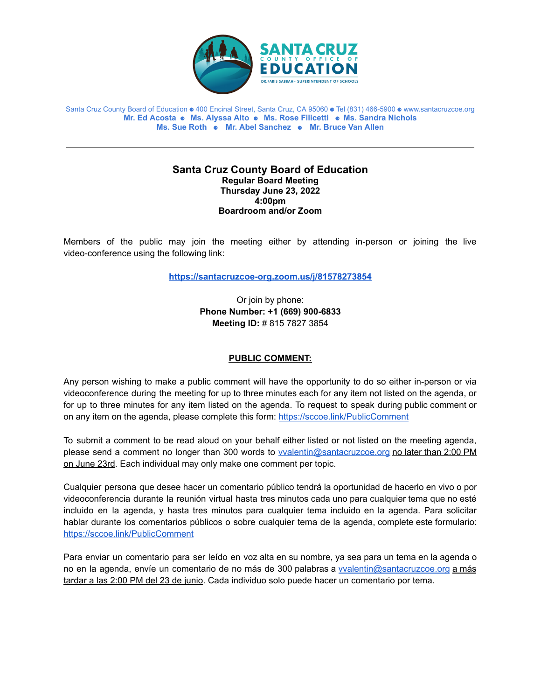

Santa Cruz County Board of Education ⚈ 400 Encinal Street, Santa Cruz, CA 95060 ⚈ Tel (831) 466-5900 ⚈ www.santacruzcoe.org **Mr. Ed Acosta** ⚈ **Ms. Alyssa Alto** ⚈ **Ms. Rose Filicetti** ⚈ **Ms. Sandra Nichols Ms. Sue Roth** ⚈ **Mr. Abel Sanchez** ⚈ **Mr. Bruce Van Allen**

#### **Santa Cruz County Board of Education Regular Board Meeting Thursday June 23, 2022 4:00pm Boardroom and/or Zoom**

Members of the public may join the meeting either by attending in-person or joining the live video-conference using the following link:

**<https://santacruzcoe-org.zoom.us/j/81578273854>**

Or join by phone: **Phone Number: +1 (669) 900-6833 Meeting ID:** # 815 7827 3854

## **PUBLIC COMMENT:**

Any person wishing to make a public comment will have the opportunity to do so either in-person or via videoconference during the meeting for up to three minutes each for any item not listed on the agenda, or for up to three minutes for any item listed on the agenda. To request to speak during public comment or on any item on the agenda, please complete this form: <https://sccoe.link/PublicComment>

To submit a comment to be read aloud on your behalf either listed or not listed on the meeting agenda, please send a comment no longer than 300 words to **vyalentin@santacruzcoe.org** no later than 2:00 PM on June 23rd. Each individual may only make one comment per topic.

Cualquier persona que desee hacer un comentario público tendrá la oportunidad de hacerlo en vivo o por videoconferencia durante la reunión virtual hasta tres minutos cada uno para cualquier tema que no esté incluido en la agenda, y hasta tres minutos para cualquier tema incluido en la agenda. Para solicitar hablar durante los comentarios públicos o sobre cualquier tema de la agenda, complete este formulario: <https://sccoe.link/PublicComment>

Para enviar un comentario para ser leído en voz alta en su nombre, ya sea para un tema en la agenda o no en la agenda, envíe un comentario de no más de 300 palabras a [vvalentin@santacruzcoe.org](mailto:vvalentin@santacruzcoe.org) a más tardar a las 2:00 PM del 23 de junio. Cada individuo solo puede hacer un comentario por tema.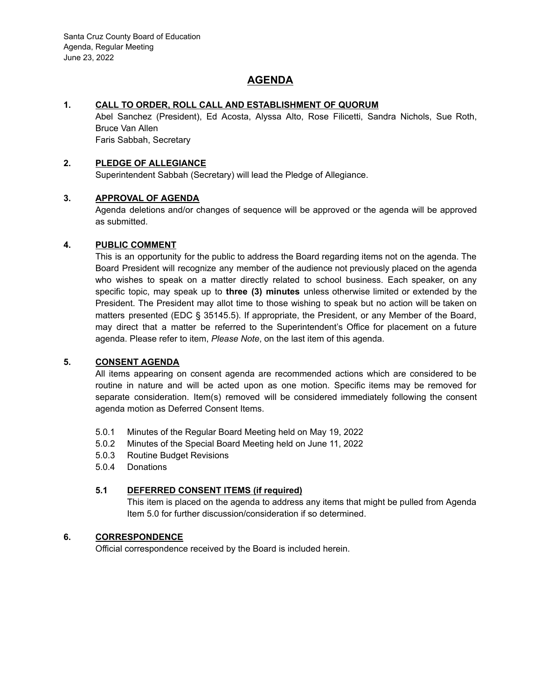# **AGENDA**

### **1. CALL TO ORDER, ROLL CALL AND ESTABLISHMENT OF QUORUM**

Abel Sanchez (President), Ed Acosta, Alyssa Alto, Rose Filicetti, Sandra Nichols, Sue Roth, Bruce Van Allen Faris Sabbah, Secretary

#### **2. PLEDGE OF ALLEGIANCE**

Superintendent Sabbah (Secretary) will lead the Pledge of Allegiance.

#### **3. APPROVAL OF AGENDA**

Agenda deletions and/or changes of sequence will be approved or the agenda will be approved as submitted.

#### **4. PUBLIC COMMENT**

This is an opportunity for the public to address the Board regarding items not on the agenda. The Board President will recognize any member of the audience not previously placed on the agenda who wishes to speak on a matter directly related to school business. Each speaker, on any specific topic, may speak up to **three (3) minutes** unless otherwise limited or extended by the President. The President may allot time to those wishing to speak but no action will be taken on matters presented (EDC § 35145.5). If appropriate, the President, or any Member of the Board, may direct that a matter be referred to the Superintendent's Office for placement on a future agenda. Please refer to item, *Please Note*, on the last item of this agenda.

#### **5. CONSENT AGENDA**

All items appearing on consent agenda are recommended actions which are considered to be routine in nature and will be acted upon as one motion. Specific items may be removed for separate consideration. Item(s) removed will be considered immediately following the consent agenda motion as Deferred Consent Items.

- 5.0.1 Minutes of the Regular Board Meeting held on May 19, 2022
- 5.0.2 Minutes of the Special Board Meeting held on June 11, 2022
- 5.0.3 Routine Budget Revisions
- 5.0.4 Donations

## **5.1 DEFERRED CONSENT ITEMS (if required)**

This item is placed on the agenda to address any items that might be pulled from Agenda Item 5.0 for further discussion/consideration if so determined.

### **6. CORRESPONDENCE**

Official correspondence received by the Board is included herein.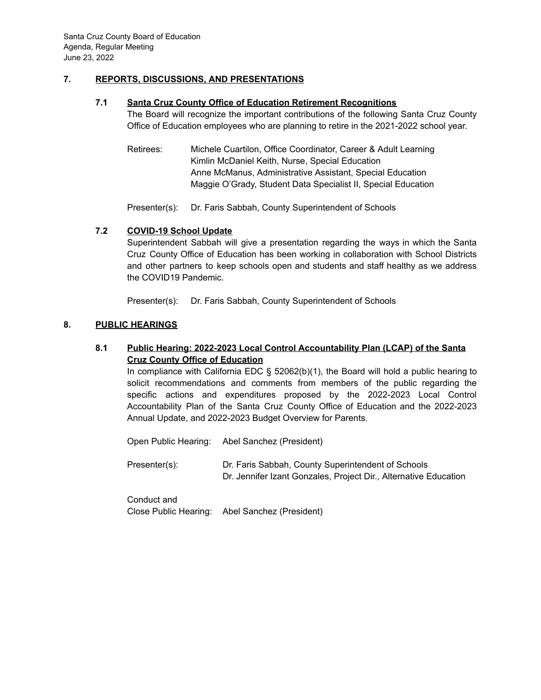### **7. REPORTS, DISCUSSIONS, AND PRESENTATIONS**

#### **7.1 Santa Cruz County Office of Education Retirement Recognitions**

The Board will recognize the important contributions of the following Santa Cruz County Office of Education employees who are planning to retire in the 2021-2022 school year.

Retirees: Michele Cuartilon, Office Coordinator, Career & Adult Learning Kimlin McDaniel Keith, Nurse, Special Education Anne McManus, Administrative Assistant, Special Education Maggie O'Grady, Student Data Specialist II, Special Education

Presenter(s): Dr. Faris Sabbah, County Superintendent of Schools

### **7.2 COVID-19 School Update**

Superintendent Sabbah will give a presentation regarding the ways in which the Santa Cruz County Office of Education has been working in collaboration with School Districts and other partners to keep schools open and students and staff healthy as we address the COVID19 Pandemic.

Presenter(s): Dr. Faris Sabbah, County Superintendent of Schools

#### **8. PUBLIC HEARINGS**

## **8.1 Public Hearing: 2022-2023 Local Control Accountability Plan (LCAP) of the Santa Cruz County Office of Education**

In compliance with California EDC  $\S$  52062(b)(1), the Board will hold a public hearing to solicit recommendations and comments from members of the public regarding the specific actions and expenditures proposed by the 2022-2023 Local Control Accountability Plan of the Santa Cruz County Office of Education and the 2022-2023 Annual Update, and 2022-2023 Budget Overview for Parents.

Open Public Hearing: Abel Sanchez (President)

Presenter(s): Dr. Faris Sabbah, County Superintendent of Schools Dr. Jennifer Izant Gonzales, Project Dir., Alternative Education

Conduct and Close Public Hearing: Abel Sanchez (President)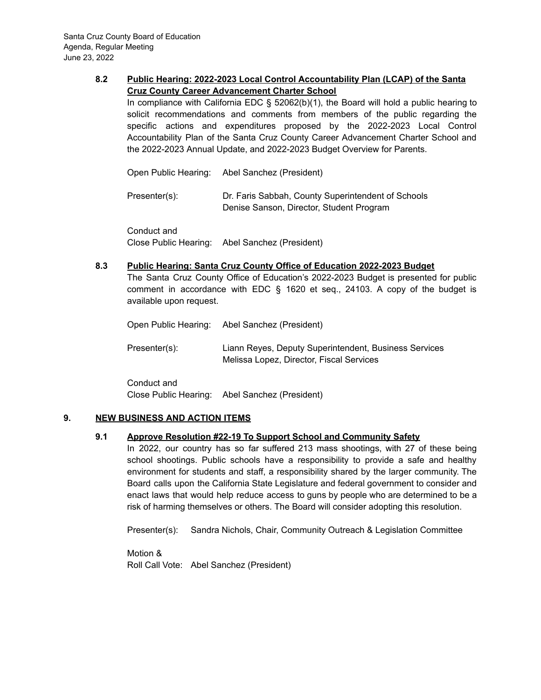## **8.2 Public Hearing: 2022-2023 Local Control Accountability Plan (LCAP) of the Santa Cruz County Career Advancement Charter School**

In compliance with California EDC  $\S$  52062(b)(1), the Board will hold a public hearing to solicit recommendations and comments from members of the public regarding the specific actions and expenditures proposed by the 2022-2023 Local Control Accountability Plan of the Santa Cruz County Career Advancement Charter School and the 2022-2023 Annual Update, and 2022-2023 Budget Overview for Parents.

Open Public Hearing: Abel Sanchez (President)

Presenter(s): Dr. Faris Sabbah, County Superintendent of Schools Denise Sanson, Director, Student Program

Conduct and Close Public Hearing: Abel Sanchez (President)

### **8.3 Public Hearing: Santa Cruz County Office of Education 2022-2023 Budget**

The Santa Cruz County Office of Education's 2022-2023 Budget is presented for public comment in accordance with EDC § 1620 et seq., 24103. A copy of the budget is available upon request.

Open Public Hearing: Abel Sanchez (President)

Presenter(s): Liann Reyes, Deputy Superintendent, Business Services Melissa Lopez, Director, Fiscal Services

Conduct and Close Public Hearing: Abel Sanchez (President)

### **9. NEW BUSINESS AND ACTION ITEMS**

## **9.1 Approve Resolution #22-19 To Support School and Community Safety**

In 2022, our country has so far suffered 213 mass shootings, with 27 of these being school shootings. Public schools have a responsibility to provide a safe and healthy environment for students and staff, a responsibility shared by the larger community. The Board calls upon the California State Legislature and federal government to consider and enact laws that would help reduce access to guns by people who are determined to be a risk of harming themselves or others. The Board will consider adopting this resolution.

Presenter(s): Sandra Nichols, Chair, Community Outreach & Legislation Committee

Motion & Roll Call Vote: Abel Sanchez (President)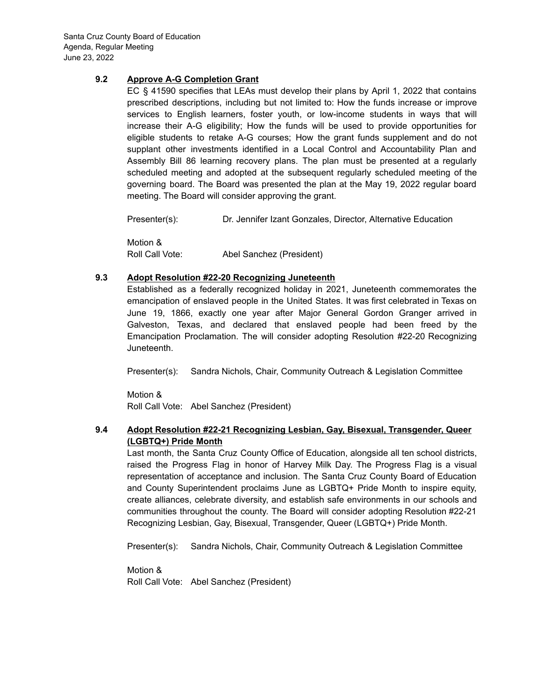## **9.2 Approve A-G Completion Grant**

EC § 41590 specifies that LEAs must develop their plans by April 1, 2022 that contains prescribed descriptions, including but not limited to: How the funds increase or improve services to English learners, foster youth, or low-income students in ways that will increase their A-G eligibility; How the funds will be used to provide opportunities for eligible students to retake A-G courses; How the grant funds supplement and do not supplant other investments identified in a Local Control and Accountability Plan and Assembly Bill 86 learning recovery plans. The plan must be presented at a regularly scheduled meeting and adopted at the subsequent regularly scheduled meeting of the governing board. The Board was presented the plan at the May 19, 2022 regular board meeting. The Board will consider approving the grant.

Presenter(s): Dr. Jennifer Izant Gonzales, Director, Alternative Education

Motion & Roll Call Vote: Abel Sanchez (President)

### **9.3 Adopt Resolution #22-20 Recognizing Juneteenth**

Established as a federally recognized holiday in 2021, Juneteenth commemorates the emancipation of enslaved people in the United States. It was first celebrated in Texas on June 19, 1866, exactly one year after Major General Gordon Granger arrived in Galveston, Texas, and declared that enslaved people had been freed by the Emancipation Proclamation. The will consider adopting Resolution #22-20 Recognizing Juneteenth.

Presenter(s): Sandra Nichols, Chair, Community Outreach & Legislation Committee

Motion & Roll Call Vote: Abel Sanchez (President)

### **9.4 Adopt Resolution #22-21 Recognizing Lesbian, Gay, Bisexual, Transgender, Queer (LGBTQ+) Pride Month**

Last month, the Santa Cruz County Office of Education, alongside all ten school districts, raised the Progress Flag in honor of Harvey Milk Day. The Progress Flag is a visual representation of acceptance and inclusion. The Santa Cruz County Board of Education and County Superintendent proclaims June as LGBTQ+ Pride Month to inspire equity, create alliances, celebrate diversity, and establish safe environments in our schools and communities throughout the county. The Board will consider adopting Resolution #22-21 Recognizing Lesbian, Gay, Bisexual, Transgender, Queer (LGBTQ+) Pride Month.

Presenter(s): Sandra Nichols, Chair, Community Outreach & Legislation Committee

Motion & Roll Call Vote: Abel Sanchez (President)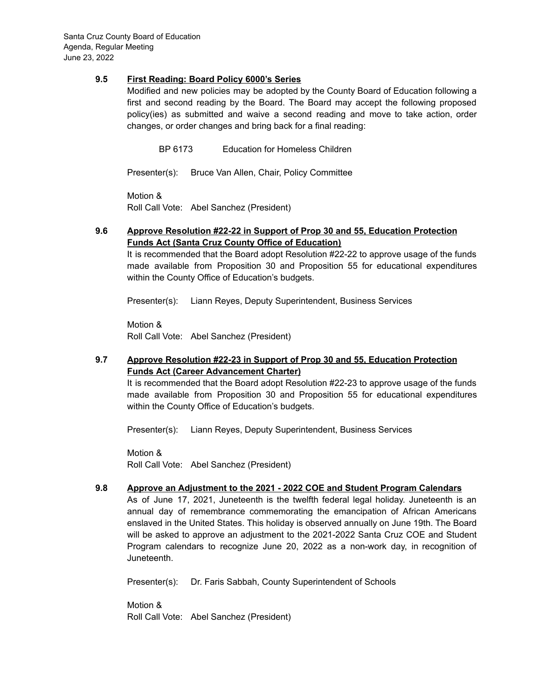### **9.5 First Reading: Board Policy 6000's Series**

Modified and new policies may be adopted by the County Board of Education following a first and second reading by the Board. The Board may accept the following proposed policy(ies) as submitted and waive a second reading and move to take action, order changes, or order changes and bring back for a final reading:

BP 6173 Education for Homeless Children

Presenter(s): Bruce Van Allen, Chair, Policy Committee

Motion & Roll Call Vote: Abel Sanchez (President)

## **9.6 Approve Resolution #22-22 in Support of Prop 30 and 55, Education Protection Funds Act (Santa Cruz County Office of Education)**

It is recommended that the Board adopt Resolution #22-22 to approve usage of the funds made available from Proposition 30 and Proposition 55 for educational expenditures within the County Office of Education's budgets.

Presenter(s): Liann Reyes, Deputy Superintendent, Business Services

Motion & Roll Call Vote: Abel Sanchez (President)

## **9.7 Approve Resolution #22-23 in Support of Prop 30 and 55, Education Protection Funds Act (Career Advancement Charter)**

It is recommended that the Board adopt Resolution #22-23 to approve usage of the funds made available from Proposition 30 and Proposition 55 for educational expenditures within the County Office of Education's budgets.

Presenter(s): Liann Reyes, Deputy Superintendent, Business Services

Motion & Roll Call Vote: Abel Sanchez (President)

### **9.8 Approve an Adjustment to the 2021 - 2022 COE and Student Program Calendars**

As of June 17, 2021, Juneteenth is the twelfth federal legal holiday. Juneteenth is an annual day of remembrance commemorating the emancipation of African Americans enslaved in the United States. This holiday is observed annually on June 19th. The Board will be asked to approve an adjustment to the 2021-2022 Santa Cruz COE and Student Program calendars to recognize June 20, 2022 as a non-work day, in recognition of Juneteenth.

Presenter(s): Dr. Faris Sabbah, County Superintendent of Schools

Motion & Roll Call Vote: Abel Sanchez (President)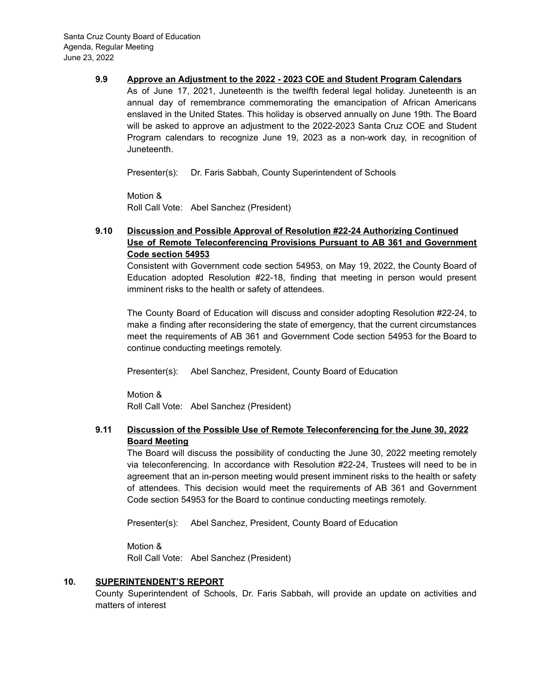#### **9.9 Approve an Adjustment to the 2022 - 2023 COE and Student Program Calendars**

As of June 17, 2021, Juneteenth is the twelfth federal legal holiday. Juneteenth is an annual day of remembrance commemorating the emancipation of African Americans enslaved in the United States. This holiday is observed annually on June 19th. The Board will be asked to approve an adjustment to the 2022-2023 Santa Cruz COE and Student Program calendars to recognize June 19, 2023 as a non-work day, in recognition of Juneteenth.

Presenter(s): Dr. Faris Sabbah, County Superintendent of Schools

Motion & Roll Call Vote: Abel Sanchez (President)

## **9.10 Discussion and Possible Approval of Resolution #22-24 Authorizing Continued Use of Remote Teleconferencing Provisions Pursuant to AB 361 and Government Code section 54953**

Consistent with Government code section 54953, on May 19, 2022, the County Board of Education adopted Resolution #22-18, finding that meeting in person would present imminent risks to the health or safety of attendees.

The County Board of Education will discuss and consider adopting Resolution #22-24, to make a finding after reconsidering the state of emergency, that the current circumstances meet the requirements of AB 361 and Government Code section 54953 for the Board to continue conducting meetings remotely.

Presenter(s): Abel Sanchez, President, County Board of Education

Motion & Roll Call Vote: Abel Sanchez (President)

## **9.11 Discussion of the Possible Use of Remote Teleconferencing for the June 30, 2022 Board Meeting**

The Board will discuss the possibility of conducting the June 30, 2022 meeting remotely via teleconferencing. In accordance with Resolution #22-24, Trustees will need to be in agreement that an in-person meeting would present imminent risks to the health or safety of attendees. This decision would meet the requirements of AB 361 and Government Code section 54953 for the Board to continue conducting meetings remotely.

Presenter(s): Abel Sanchez, President, County Board of Education

Motion & Roll Call Vote: Abel Sanchez (President)

### **10. SUPERINTENDENT'S REPORT**

County Superintendent of Schools, Dr. Faris Sabbah, will provide an update on activities and matters of interest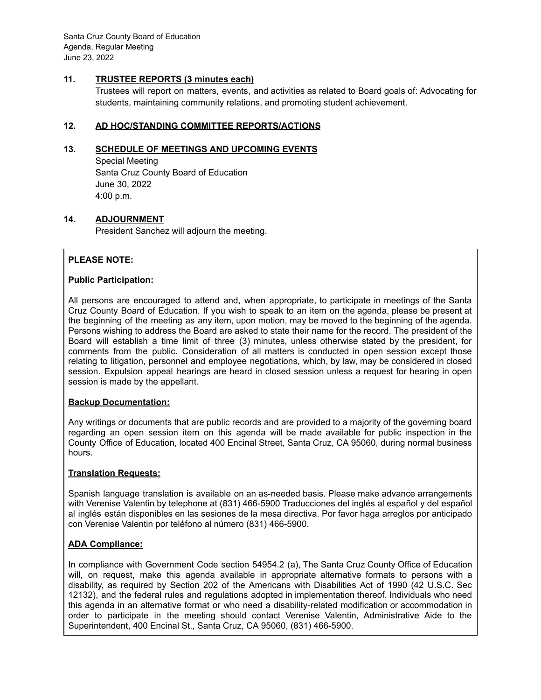Santa Cruz County Board of Education Agenda, Regular Meeting June 23, 2022

## **11. TRUSTEE REPORTS (3 minutes each)**

Trustees will report on matters, events, and activities as related to Board goals of: Advocating for students, maintaining community relations, and promoting student achievement.

### **12. AD HOC/STANDING COMMITTEE REPORTS/ACTIONS**

#### **13. SCHEDULE OF MEETINGS AND UPCOMING EVENTS**

Special Meeting Santa Cruz County Board of Education June 30, 2022 4:00 p.m.

#### **14. ADJOURNMENT**

President Sanchez will adjourn the meeting.

### **PLEASE NOTE:**

#### **Public Participation:**

All persons are encouraged to attend and, when appropriate, to participate in meetings of the Santa Cruz County Board of Education. If you wish to speak to an item on the agenda, please be present at the beginning of the meeting as any item, upon motion, may be moved to the beginning of the agenda. Persons wishing to address the Board are asked to state their name for the record. The president of the Board will establish a time limit of three (3) minutes, unless otherwise stated by the president, for comments from the public. Consideration of all matters is conducted in open session except those relating to litigation, personnel and employee negotiations, which, by law, may be considered in closed session. Expulsion appeal hearings are heard in closed session unless a request for hearing in open session is made by the appellant.

#### **Backup Documentation:**

Any writings or documents that are public records and are provided to a majority of the governing board regarding an open session item on this agenda will be made available for public inspection in the County Office of Education, located 400 Encinal Street, Santa Cruz, CA 95060, during normal business hours.

#### **Translation Requests:**

Spanish language translation is available on an as-needed basis. Please make advance arrangements with Verenise Valentin by telephone at (831) 466-5900 Traducciones del inglés al español y del español al inglés están disponibles en las sesiones de la mesa directiva. Por favor haga arreglos por anticipado con Verenise Valentin por teléfono al número (831) 466-5900.

### **ADA Compliance:**

In compliance with Government Code section 54954.2 (a), The Santa Cruz County Office of Education will, on request, make this agenda available in appropriate alternative formats to persons with a disability, as required by Section 202 of the Americans with Disabilities Act of 1990 (42 U.S.C. Sec 12132), and the federal rules and regulations adopted in implementation thereof. Individuals who need this agenda in an alternative format or who need a disability-related modification or accommodation in order to participate in the meeting should contact Verenise Valentin, Administrative Aide to the Superintendent, 400 Encinal St., Santa Cruz, CA 95060, (831) 466-5900.